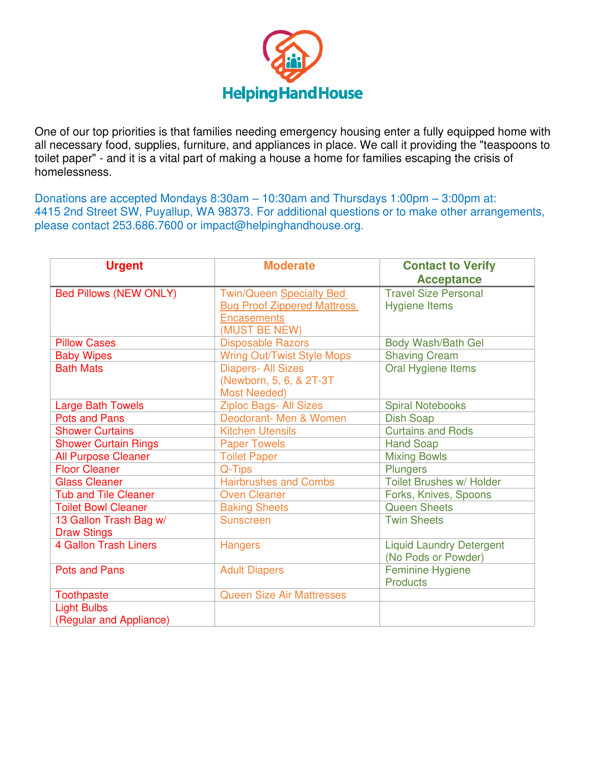

One of our top priorities is that families needing emergency housing enter a fully equipped home with all necessary food, supplies, furniture, and appliances in place. We call it providing the "teaspoons to toilet paper" - and it is a vital part of making a house a home for families escaping the crisis of homelessness.

Donations are accepted Mondays 8:30am – 10:30am and Thursdays 1:00pm – 3:00pm at: 4415 2nd Street SW, Puyallup, WA 98373. For additional questions or to make other arrangements, please contact 253.686.7600 or impact@helpinghandhouse.org.

| <b>Urgent</b>                                | <b>Moderate</b>                                                                                              | <b>Contact to Verify</b><br><b>Acceptance</b>          |
|----------------------------------------------|--------------------------------------------------------------------------------------------------------------|--------------------------------------------------------|
| <b>Bed Pillows (NEW ONLY)</b>                | <b>Twin/Queen Specialty Bed</b><br><b>Bug Proof Zippered Mattress</b><br><b>Encasements</b><br>(MUST BE NEW) | <b>Travel Size Personal</b><br><b>Hygiene Items</b>    |
| <b>Pillow Cases</b>                          | <b>Disposable Razors</b>                                                                                     | Body Wash/Bath Gel                                     |
| <b>Baby Wipes</b>                            | <b>Wring Out/Twist Style Mops</b>                                                                            | <b>Shaving Cream</b>                                   |
| <b>Bath Mats</b>                             | <b>Diapers- All Sizes</b><br>(Newborn, 5, 6, & 2T-3T<br><b>Most Needed)</b>                                  | Oral Hygiene Items                                     |
| <b>Large Bath Towels</b>                     | <b>Ziploc Bags- All Sizes</b>                                                                                | <b>Spiral Notebooks</b>                                |
| <b>Pots and Pans</b>                         | Deodorant- Men & Women                                                                                       | <b>Dish Soap</b>                                       |
| <b>Shower Curtains</b>                       | <b>Kitchen Utensils</b>                                                                                      | <b>Curtains and Rods</b>                               |
| <b>Shower Curtain Rings</b>                  | <b>Paper Towels</b>                                                                                          | <b>Hand Soap</b>                                       |
| <b>All Purpose Cleaner</b>                   | <b>Toilet Paper</b>                                                                                          | <b>Mixing Bowls</b>                                    |
| <b>Floor Cleaner</b>                         | Q-Tips                                                                                                       | <b>Plungers</b>                                        |
| <b>Glass Cleaner</b>                         | <b>Hairbrushes and Combs</b>                                                                                 | Toilet Brushes w/ Holder                               |
| <b>Tub and Tile Cleaner</b>                  | <b>Oven Cleaner</b>                                                                                          | Forks, Knives, Spoons                                  |
| <b>Toilet Bowl Cleaner</b>                   | <b>Baking Sheets</b>                                                                                         | <b>Queen Sheets</b>                                    |
| 13 Gallon Trash Bag w/<br><b>Draw Stings</b> | <b>Sunscreen</b>                                                                                             | <b>Twin Sheets</b>                                     |
| <b>4 Gallon Trash Liners</b>                 | <b>Hangers</b>                                                                                               | <b>Liquid Laundry Detergent</b><br>(No Pods or Powder) |
| <b>Pots and Pans</b>                         | <b>Adult Diapers</b>                                                                                         | Feminine Hygiene<br><b>Products</b>                    |
| <b>Toothpaste</b>                            | <b>Queen Size Air Mattresses</b>                                                                             |                                                        |
| <b>Light Bulbs</b>                           |                                                                                                              |                                                        |
| (Regular and Appliance)                      |                                                                                                              |                                                        |